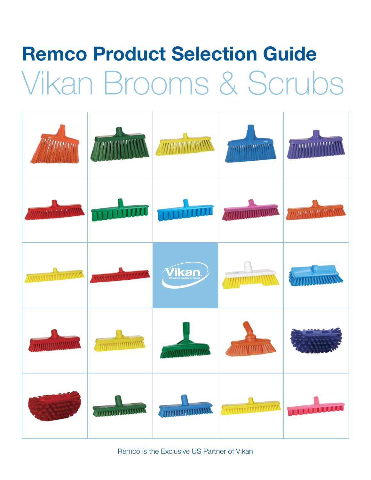# Remco Product Selection Guide Vikan Brooms & Scrubs

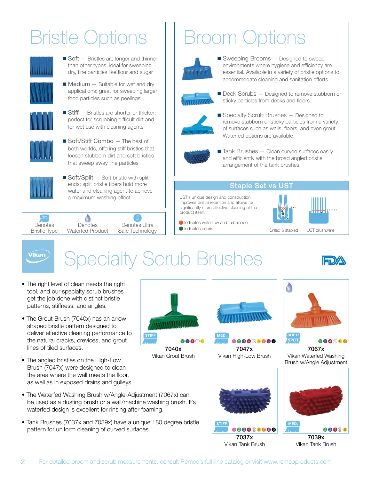### Bristle Options



 $\blacksquare$  Soft  $-$  Bristles are longer and thinner than other types; ideal for sweeping dry, fine particles like flour and sugar

 $\blacksquare$  Medium  $-$  Suitable for wet and dry applications; great for sweeping larger food particles such as peelings



 $\blacksquare$  Stiff  $-$  Bristles are shorter or thicker; perfect for scrubbing difficult dirt and for wet use with cleaning agents



 $\blacksquare$  Soft/Stiff Combo  $-$  The best of both worlds, offering stiff bristles that loosen stubborn dirt and soft bristles that sweep away fine particles



 $\blacksquare$  Soft/Split  $-$  Soft bristle with split ends; split bristle fibers hold more water and cleaning agent to achieve a maximum washing effect



Broom Options



 $\blacksquare$  Sweeping Brooms  $-$  Designed to sweep environments where hygiene and efficiency are essential. Available in a variety of bristle options to accommodate cleaning and sanitation efforts.



■ Deck Scrubs — Designed to remove stubborn or sticky particles from decks and floors.



 $\blacksquare$  Specialty Scrub Brushes  $-$  Designed to remove stubborn or sticky particles from a variety of surfaces such as walls, floors, and even grout. Waterfed options are available.



 $\blacksquare$  Tank Brushes  $-$  Clean curved surfaces easily and efficiently with the broad angled bristle arrangement of the tank brushes.

### Staple Set vs UST

UST's unique design and construction improves bristle retention and allows for significantly more effective cleaning of the product itself.



**Indicates waterflow and turbulence**  $\bullet$  Indicates debris

Vikan.

### Specialty Scrub Brushes



#### • The right level of clean needs the right tool, and our specialty scrub brushes get the job done with distinct bristle patterns, stiffness, and angles.

- The Grout Brush (7040x) has an arrow shaped bristle pattern designed to deliver effective cleaning performance to the natural cracks, crevices, and grout lines of tiled surfaces.
- The angled bristles on the High-Low Brush (7047x) were designed to clean the area where the wall meets the floor, as well as in exposed drains and gulleys.
- The Waterfed Washing Brush w/Angle-Adjustment (7067x) can be used as a dusting brush or a wall/machine washing brush. It's waterfed design is excellent for rinsing after foaming.
- Tank Brushes (7037x and 7039x) have a unique 180 degree bristle pattern for uniform cleaning of curved surfaces.



7040x Vikan Grout Brush



7047x Vikan High-Low Brush 100066000



7037x Vikan Tank Brush



7067x Vikan Waterfed Washing Brush w/Angle Adjustment



7039x Vikan Tank Brush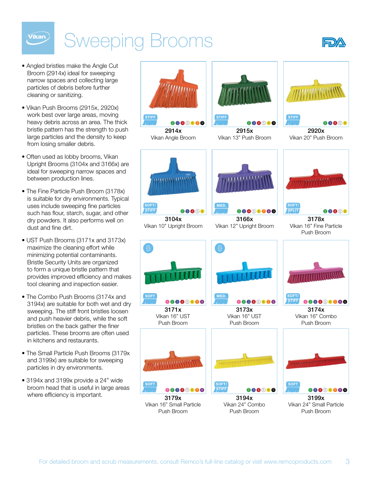## Sweeping Brooms



• Angled bristles make the Angle Cut Broom (2914x) ideal for sweeping narrow spaces and collecting large particles of debris before further cleaning or sanitizing.

Vikan.

- Vikan Push Brooms (2915x, 2920x) work best over large areas, moving heavy debris across an area. The thick bristle pattern has the strength to push large particles and the density to keep from losing smaller debris.
- Often used as lobby brooms, Vikan Upright Brooms (3104x and 3166x) are ideal for sweeping narrow spaces and between production lines.
- The Fine Particle Push Broom (3178x) is suitable for dry environments. Typical uses include sweeping fine particles such has flour, starch, sugar, and other dry powders. It also performs well on dust and fine dirt.
- UST Push Brooms (3171x and 3173x) maximize the cleaning effort while minimizing potential contaminants. Bristle Security Units are organized to form a unique bristle pattern that provides improved efficiency and makes tool cleaning and inspection easier.
- The Combo Push Brooms (3174x and 3194x) are suitable for both wet and dry sweeping. The stiff front bristles loosen and push heavier debris, while the soft bristles on the back gather the finer particles. These brooms are often used in kitchens and restaurants.
- The Small Particle Push Brooms (3179x and 3199x) are suitable for sweeping particles in dry environments.
- 3194x and 3199x provide a 24" wide broom head that is useful in large areas where efficiency is important.